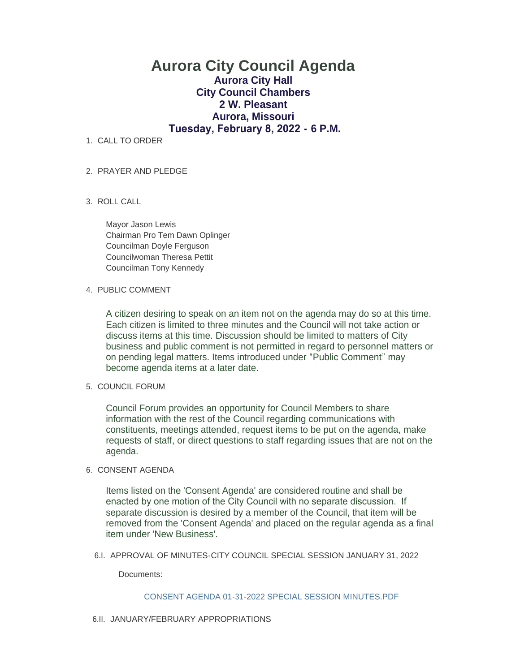# **Aurora City Council Agenda Aurora City Hall City Council Chambers 2 W. Pleasant Aurora, Missouri Tuesday, February 8, 2022 - 6 P.M.**

1. CALL TO ORDER

## PRAYER AND PLEDGE 2.

ROLL CALL 3.

Mayor Jason Lewis Chairman Pro Tem Dawn Oplinger Councilman Doyle Ferguson Councilwoman Theresa Pettit Councilman Tony Kennedy

#### 4. PUBLIC COMMENT

A citizen desiring to speak on an item not on the agenda may do so at this time. Each citizen is limited to three minutes and the Council will not take action or discuss items at this time. Discussion should be limited to matters of City business and public comment is not permitted in regard to personnel matters or on pending legal matters. Items introduced under "Public Comment" may become agenda items at a later date.

## 5. COUNCIL FORUM

Council Forum provides an opportunity for Council Members to share information with the rest of the Council regarding communications with constituents, meetings attended, request items to be put on the agenda, make requests of staff, or direct questions to staff regarding issues that are not on the agenda.

#### 6. CONSENT AGENDA

Items listed on the 'Consent Agenda' are considered routine and shall be enacted by one motion of the City Council with no separate discussion. If separate discussion is desired by a member of the Council, that item will be removed from the 'Consent Agenda' and placed on the regular agenda as a final item under 'New Business'.

6.I. APPROVAL OF MINUTES-CITY COUNCIL SPECIAL SESSION JANUARY 31, 2022

Documents:

#### [CONSENT AGENDA 01-31-2022 SPECIAL SESSION MINUTES.PDF](https://www.aurora-cityhall.org/AgendaCenter/ViewFile/Item/1537?fileID=1871)

6.II. JANUARY/FEBRUARY APPROPRIATIONS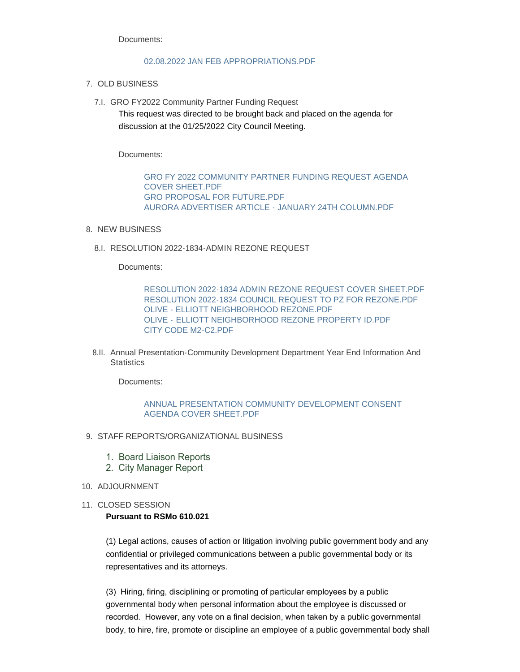Documents:

#### [02.08.2022 JAN FEB APPROPRIATIONS.PDF](https://www.aurora-cityhall.org/AgendaCenter/ViewFile/Item/1533?fileID=1864)

- 7. OLD BUSINESS
	- 7.I. GRO FY2022 Community Partner Funding Request This request was directed to be brought back and placed on the agenda for discussion at the 01/25/2022 City Council Meeting.

Documents:

[GRO FY 2022 COMMUNITY PARTNER FUNDING REQUEST AGENDA](https://www.aurora-cityhall.org/AgendaCenter/ViewFile/Item/1536?fileID=1868)  COVER SHEET.PDF [GRO PROPOSAL FOR FUTURE.PDF](https://www.aurora-cityhall.org/AgendaCenter/ViewFile/Item/1536?fileID=1869) [AURORA ADVERTISER ARTICLE - JANUARY 24TH COLUMN.PDF](https://www.aurora-cityhall.org/AgendaCenter/ViewFile/Item/1536?fileID=1870)

- 8. NEW BUSINESS
	- 8.I. RESOLUTION 2022-1834-ADMIN REZONE REQUEST

Documents:

[RESOLUTION 2022-1834 ADMIN REZONE REQUEST COVER SHEET.PDF](https://www.aurora-cityhall.org/AgendaCenter/ViewFile/Item/1540?fileID=1880) [RESOLUTION 2022-1834 COUNCIL REQUEST TO PZ FOR REZONE.PDF](https://www.aurora-cityhall.org/AgendaCenter/ViewFile/Item/1540?fileID=1881) [OLIVE - ELLIOTT NEIGHBORHOOD REZONE.PDF](https://www.aurora-cityhall.org/AgendaCenter/ViewFile/Item/1540?fileID=1882) OLIVE - [ELLIOTT NEIGHBORHOOD REZONE PROPERTY ID.PDF](https://www.aurora-cityhall.org/AgendaCenter/ViewFile/Item/1540?fileID=1883) [CITY CODE M2-C2.PDF](https://www.aurora-cityhall.org/AgendaCenter/ViewFile/Item/1540?fileID=1884)

8.II. Annual Presentation-Community Development Department Year End Information And **Statistics** 

Documents:

### [ANNUAL PRESENTATION COMMUNITY DEVELOPMENT CONSENT](https://www.aurora-cityhall.org/AgendaCenter/ViewFile/Item/1532?fileID=1863)  AGENDA COVER SHEET.PDF

- 9. STAFF REPORTS/ORGANIZATIONAL BUSINESS
	- 1. Board Liaison Reports
	- 2. City Manager Report
- 10. ADJOURNMENT
- 11. CLOSED SESSION

#### **Pursuant to RSMo 610.021**

(1) Legal actions, causes of action or litigation involving public government body and any confidential or privileged communications between a public governmental body or its representatives and its attorneys.

(3) Hiring, firing, disciplining or promoting of particular employees by a public governmental body when personal information about the employee is discussed or recorded. However, any vote on a final decision, when taken by a public governmental body, to hire, fire, promote or discipline an employee of a public governmental body shall